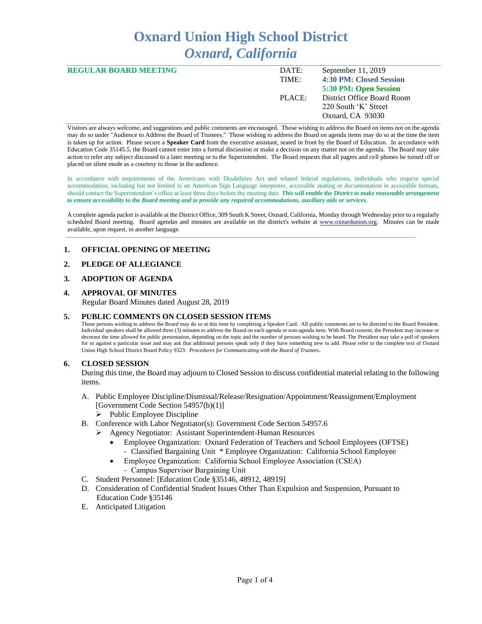# **Oxnard Union High School District** *Oxnard, California*

| DATE:  | September $11, 2019$       |
|--------|----------------------------|
| TIME:  | 4:30 PM: Closed Session    |
|        | 5:30 PM: Open Session      |
| PLACE: | District Office Board Room |
|        | 220 South 'K' Street       |
|        | Oxnard, CA 93030           |
|        |                            |

Visitors are always welcome, and suggestions and public comments are encouraged. Those wishing to address the Board on items not on the agenda may do so under "Audience to Address the Board of Trustees." Those wishing to address the Board on agenda items may do so at the time the item is taken up for action. Please secure a **Speaker Card** from the executive assistant, seated in front by the Board of Education. In accordance with Education Code 35145.5, the Board cannot enter into a formal discussion or make a decision on any matter not on the agenda. The Board may take action to refer any subject discussed to a later meeting or to the Superintendent. The Board requests that all pagers and cell phones be turned off or placed on silent mode as a courtesy to those in the audience.

In accordance with requirements of the Americans with Disabilities Act and related federal regulations, individuals who require special accommodation, including but not limited to an American Sign Language interpreter, accessible seating or documentation in accessible formats, should contact the Superintendent's office at least three days before the meeting date. *This will enable the District to make reasonable arrangement to ensure accessibility to the Board meeting and to provide any required accommodations, auxiliary aids or services.* 

A complete agenda packet is available at the District Office, 309 South K Street, Oxnard, California, Monday through Wednesday prior to a regularly scheduled Board meeting. Board agendas and minutes are available on the district's website at [www.ox](http://www.o/)nardunion.org.Minutes can be made available, upon request, in another language.

### **1. OFFICIAL OPENING OF MEETING**

### **2. PLEDGE OF ALLEGIANCE**

### **3. ADOPTION OF AGENDA**

### **4. APPROVAL OF MINUTES**

Regular Board Minutes dated August 28, 2019

### **5. PUBLIC COMMENTS ON CLOSED SESSION ITEMS**

Those persons wishing to address the Board may do so at this time by completing a Speaker Card. All public comments are to be directed to the Board President. Individual speakers shall be allowed three (3) minutes to address the Board on each agenda or non-agenda item. With Board consent, the President may increase or decrease the time allowed for public presentation, depending on the topic and the number of persons wishing to be heard. The President may take a poll of speakers for or against a particular issue and may ask that additional persons speak only if they have something new to add. Please refer to the complete text of Oxnard Union High School District Board Policy 9323: *Procedures for Communicating with the Board of Trustees*.

#### **6. CLOSED SESSION**

During this time, the Board may adjourn to Closed Session to discuss confidential material relating to the following items.

- A. Public Employee Discipline/Dismissal/Release/Resignation/Appointment/Reassignment/Employment [Government Code Section 54957(b)(1)]
	- ➢ Public Employee Discipline
- B. Conference with Labor Negotiator(s): Government Code Section 54957.6
	- ➢ Agency Negotiator: Assistant Superintendent-Human Resources
		- Employee Organization: Oxnard Federation of Teachers and School Employees (OFTSE) - Classified Bargaining Unit \* Employee Organization: California School Employee
		- Employee Organization: California School Employee Association (CSEA)
			- Campus Supervisor Bargaining Unit
- C. Student Personnel: [Education Code §35146, 48912, 48919]
- D. Consideration of Confidential Student Issues Other Than Expulsion and Suspension, Pursuant to Education Code §35146
- E. Anticipated Litigation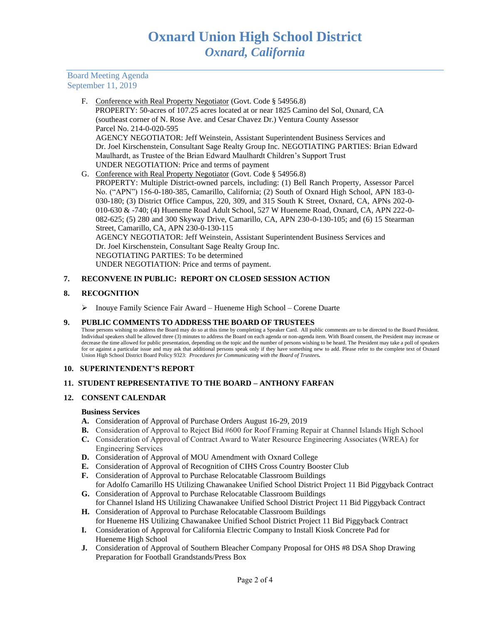Board Meeting Agenda September 11, 2019

- F. Conference with Real Property Negotiator (Govt. Code § 54956.8) PROPERTY: 50-acres of 107.25 acres located at or near 1825 Camino del Sol, Oxnard, CA (southeast corner of N. Rose Ave. and Cesar Chavez Dr.) Ventura County Assessor Parcel No. 214-0-020-595 AGENCY NEGOTIATOR: Jeff Weinstein, Assistant Superintendent Business Services and Dr. Joel Kirschenstein, Consultant Sage Realty Group Inc. NEGOTIATING PARTIES: Brian Edward Maulhardt, as Trustee of the Brian Edward Maulhardt Children's Support Trust UNDER NEGOTIATION: Price and terms of payment G. Conference with Real Property Negotiator (Govt. Code § 54956.8)
- PROPERTY: Multiple District-owned parcels, including: (1) Bell Ranch Property, Assessor Parcel No. ("APN") 156-0-180-385, Camarillo, California; (2) South of Oxnard High School, APN 183-0- 030-180; (3) District Office Campus, 220, 309, and 315 South K Street, Oxnard, CA, APNs 202-0- 010-630 & -740; (4) Hueneme Road Adult School, 527 W Hueneme Road, Oxnard, CA, APN 222-0- 082-625; (5) 280 and 300 Skyway Drive, Camarillo, CA, APN 230-0-130-105; and (6) 15 Stearman Street, Camarillo, CA, APN 230-0-130-115 AGENCY NEGOTIATOR: Jeff Weinstein, Assistant Superintendent Business Services and Dr. Joel Kirschenstein, Consultant Sage Realty Group Inc. NEGOTIATING PARTIES: To be determined UNDER NEGOTIATION: Price and terms of payment.

## **7. RECONVENE IN PUBLIC: REPORT ON CLOSED SESSION ACTION**

## **8. RECOGNITION**

➢ Inouye Family Science Fair Award – Hueneme High School – Corene Duarte

### **9. PUBLIC COMMENTS TO ADDRESS THE BOARD OF TRUSTEES**

Those persons wishing to address the Board may do so at this time by completing a Speaker Card. All public comments are to be directed to the Board President. Individual speakers shall be allowed three (3) minutes to address the Board on each agenda or non-agenda item. With Board consent, the President may increase or decrease the time allowed for public presentation, depending on the topic and the number of persons wishing to be heard. The President may take a poll of speakers for or against a particular issue and may ask that additional persons speak only if they have something new to add. Please refer to the complete text of Oxnard Union High School District Board Policy 9323: *Procedures for Communicating with the Board of Trustees.*

### **10. SUPERINTENDENT'S REPORT**

### **11. STUDENT REPRESENTATIVE TO THE BOARD – ANTHONY FARFAN**

### **12. CONSENT CALENDAR**

### **Business Services**

- **A.** Consideration of Approval of Purchase Orders August 16-29, 2019
- **B.** Consideration of Approval to Reject Bid #600 for Roof Framing Repair at Channel Islands High School
- **C.** Consideration of Approval of Contract Award to Water Resource Engineering Associates (WREA) for Engineering Services
- **D.** Consideration of Approval of MOU Amendment with Oxnard College
- **E.** Consideration of Approval of Recognition of CIHS Cross Country Booster Club
- **F.** Consideration of Approval to Purchase Relocatable Classroom Buildings for Adolfo Camarillo HS Utilizing Chawanakee Unified School District Project 11 Bid Piggyback Contract
- **G.** Consideration of Approval to Purchase Relocatable Classroom Buildings for Channel Island HS Utilizing Chawanakee Unified School District Project 11 Bid Piggyback Contract
- **H.** Consideration of Approval to Purchase Relocatable Classroom Buildings for Hueneme HS Utilizing Chawanakee Unified School District Project 11 Bid Piggyback Contract
- **I.** Consideration of Approval for California Electric Company to Install Kiosk Concrete Pad for Hueneme High School
- **J.** Consideration of Approval of Southern Bleacher Company Proposal for OHS #8 DSA Shop Drawing Preparation for Football Grandstands/Press Box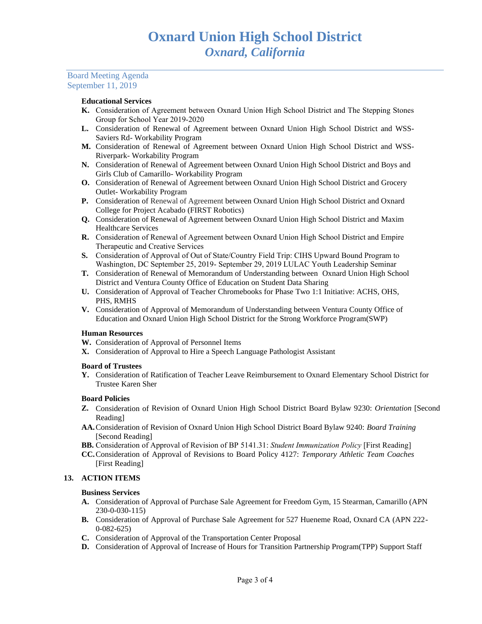### Board Meeting Agenda September 11, 2019

#### **Educational Services**

- **K.** Consideration of Agreement between Oxnard Union High School District and The Stepping Stones Group for School Year 2019-2020
- **L.** Consideration of Renewal of Agreement between Oxnard Union High School District and WSS-Saviers Rd- Workability Program
- **M.** Consideration of Renewal of Agreement between Oxnard Union High School District and WSS-Riverpark- Workability Program
- **N.** Consideration of Renewal of Agreement between Oxnard Union High School District and Boys and Girls Club of Camarillo- Workability Program
- **O.** Consideration of Renewal of Agreement between Oxnard Union High School District and Grocery Outlet- Workability Program
- **P.** Consideration of Renewal of Agreement between Oxnard Union High School District and Oxnard College for Project Acabado (FIRST Robotics)
- **Q.** Consideration of Renewal of Agreement between Oxnard Union High School District and Maxim Healthcare Services
- **R.** Consideration of Renewal of Agreement between Oxnard Union High School District and Empire Therapeutic and Creative Services
- **S.** Consideration of Approval of Out of State/Country Field Trip: CIHS Upward Bound Program to Washington, DC September 25, 2019- September 29, 2019 LULAC Youth Leadership Seminar
- **T.** Consideration of Renewal of Memorandum of Understanding between Oxnard Union High School District and Ventura County Office of Education on Student Data Sharing
- **U.** Consideration of Approval of Teacher Chromebooks for Phase Two 1:1 Initiative: ACHS, OHS, PHS, RMHS
- **V.** Consideration of Approval of Memorandum of Understanding between Ventura County Office of Education and Oxnard Union High School District for the Strong Workforce Program(SWP)

### **Human Resources**

- **W.** Consideration of Approval of Personnel Items
- **X.** Consideration of Approval to Hire a Speech Language Pathologist Assistant

### **Board of Trustees**

**Y.** Consideration of Ratification of Teacher Leave Reimbursement to Oxnard Elementary School District for Trustee Karen Sher

## **Board Policies**

- **Z.** Consideration of Revision of Oxnard Union High School District Board Bylaw 9230: *Orientation* [Second Reading]
- **AA.**Consideration of Revision of Oxnard Union High School District Board Bylaw 9240: *Board Training* [Second Reading]
- **BB.** Consideration of Approval of Revision of BP 5141.31: *Student Immunization Policy* [First Reading]
- **CC.**Consideration of Approval of Revisions to Board Policy 4127: *Temporary Athletic Team Coaches* [First Reading]

### **13. ACTION ITEMS**

#### **Business Services**

- **A.** Consideration of Approval of Purchase Sale Agreement for Freedom Gym, 15 Stearman, Camarillo (APN 230-0-030-115)
- **B.** Consideration of Approval of Purchase Sale Agreement for 527 Hueneme Road, Oxnard CA (APN 222- 0-082-625)
- **C.** Consideration of Approval of the Transportation Center Proposal
- **D.** Consideration of Approval of Increase of Hours for Transition Partnership Program(TPP) Support Staff